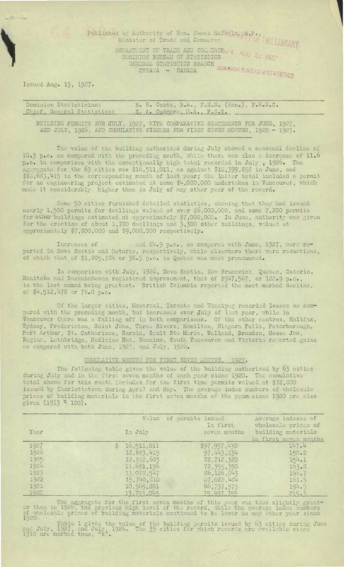Published by Authority of Hon. James Halcolm, M.P., OF TRELIBRARY Minister of Trade and Commerce DIPARTLINT OF TRADE AND COMERCE. **OMINION BUREAU OF STATISTICS** ENERAL STATISTICS BRANCH

 $\text{OPTATA}$  - CANADA  $\text{OPTATA}$ 

Issued Aug. 19, 1927.

Dominion Statistician: R. H. Coats, B.A., F.S.S. (Hon.), F.R.S.C. Chief, General Statistics: S. A. Cudmore, M.A., F.S.S.

BUILDING PERMITS FOR LULY, 1927, WITH COMPARATIVE STATEMENTS FOR JUNE, 1927, AND JULY, 1926, AND CUMULATIVE FIGURES FOR FIRST SEVEN MONTHS, 1920 - 1927.

The value of the building authorized during July showed a seasonal decline of 10.3 p.c. as compared with the preceding month, while there was also a decrease of  $11.$   $\circ$ p.c. in comparison with the exceptionally high total recorded in July , 1926. The ag:rogatc for the 63 cities was \$16,511,011, as against \$15,399,553 in Juno, and  $$1:663,415$  in the corresponding month of last year; the latter total included a permit for an engineering project estimated at some  $\frac{\alpha}{4},000,000$  undertaken in Vancouver, which made it considerably higher than in July of any other year of the record.

Some 50 cities furnished detailed statistics, showing that they had issued nearly 1,500 permits for dwellings valued at over \$6,000,000, and some 2,200 permits for other buildings estimated at approximately  $\$7,000,000$ . In June, authority was given for the erection of about 1,700 dwellings and 3,300 other buildings, valued at approximately \$7,300,000 and \$9,000,000 respectively.

Increases of and  $24.9$  p.c., as compared with June, 1927, were reported. in Nova Scotia and Ontario, respectively, while elsewhere there were reductions, of which that of \$1,805,784 or 38.5 p.c. in Quebec was most pronounced.

In comparison with July, 1926, Nova Scotia, New Brunswick, Quebec, Ontario, Manitoba and Saskatchewan registered improvement, that of \$947,567, or 182.9 p.c., in the last named being greatest. British Columbia reported the most marked decline, of \$4,512,478 or 75.0 P.C.

Of the larger cities, Montreal, Toronto and Winnipeg recorded losses as compared with the preceding month, but increases over July of last year, while in Vancouver there was a falling off in both comparisons. Of the other centres, Halifax, Sydney, Fredericton, Saint John, Three Rivers, Hamilton, Niagara Falls, Paterborough, Port Arthur, St. Catharines, Sarnia, Sault Ste Marie, Wclland, Brandon, Moose Jaw, Regina, Lethbridge, Medicine Hat, Nanaimo, South Vancouver and Victoria roortcd gains as compared with both June, 1927, and July, 1926.

## CUMULATIVE RECORD FOR FIRST SEVEN MONTHS, 1927.

The following table gives the value of the building authorized by 63 cities during July and in the first- seven months of each year since 1920. The cumulative total shown for this montL includes for the first time permits valued at \$72,300 issued by Charlottotown during April and May. The average index numbers of wholesale prices of building materials in the first seven months of the years since 1920 arc also given  $(1913 = 100)$ .

|      |                                                                                                                                                                                                                                                                                                                                                                                                      | Value of permits issued | Average indexes of    |
|------|------------------------------------------------------------------------------------------------------------------------------------------------------------------------------------------------------------------------------------------------------------------------------------------------------------------------------------------------------------------------------------------------------|-------------------------|-----------------------|
|      |                                                                                                                                                                                                                                                                                                                                                                                                      | In first                | wholesale prices of   |
| Year | In July                                                                                                                                                                                                                                                                                                                                                                                              | seven months            | building materials    |
|      |                                                                                                                                                                                                                                                                                                                                                                                                      |                         | in first seven months |
| 1927 | 16,511,011                                                                                                                                                                                                                                                                                                                                                                                           | \$97,957,430            | 147.4                 |
| 1926 | 13, 683, 415                                                                                                                                                                                                                                                                                                                                                                                         | 97, 443, 834            | 150.2                 |
| 1925 | 12,812,603                                                                                                                                                                                                                                                                                                                                                                                           | 78,712,320              | 154.1                 |
| 1924 | 11,681,196                                                                                                                                                                                                                                                                                                                                                                                           | 72, 355, 350            | 163.8                 |
| 1923 | 13,078,547                                                                                                                                                                                                                                                                                                                                                                                           | 86, 126, 043            | 156.7                 |
| 1922 | 15,740,810                                                                                                                                                                                                                                                                                                                                                                                           | 87,022,484              | 161.5                 |
| 1921 | 10,965,891                                                                                                                                                                                                                                                                                                                                                                                           | 66,737,575              | 194.5                 |
| 1920 | 13.743.045                                                                                                                                                                                                                                                                                                                                                                                           | 75, 497, 755            | 215.3                 |
|      | $\mathbb{E}[\mathbf{a}_0, \mathbf{a}_1, \mathbf{a}_2, \mathbf{a}_3, \mathbf{a}_5, \mathbf{a}_7, \mathbf{a}_8, \mathbf{a}_9, \mathbf{a}_1, \mathbf{a}_1, \mathbf{a}_2, \mathbf{a}_3, \mathbf{a}_1, \mathbf{a}_2, \mathbf{a}_3, \mathbf{a}_1, \mathbf{a}_2, \mathbf{a}_3, \mathbf{a}_1, \mathbf{a}_2, \mathbf{a}_3, \mathbf{a}_1, \mathbf{a}_2, \mathbf{a}_3, \mathbf{a}_2, \mathbf{a}_3, \mathbf{a}_$ |                         |                       |

er than The aggregate for the first seven months of this year was thus slightly greatin 1926, the previous high level of the record, while the average index numbers of wholesale prices of building materials continued to be lower in any other year since

Table 1 gives the value of the building permits issued by 63 cities during June and July, 1927, and July, 1926. The 35 cities for which records are available since 1910 are marked thus, "x".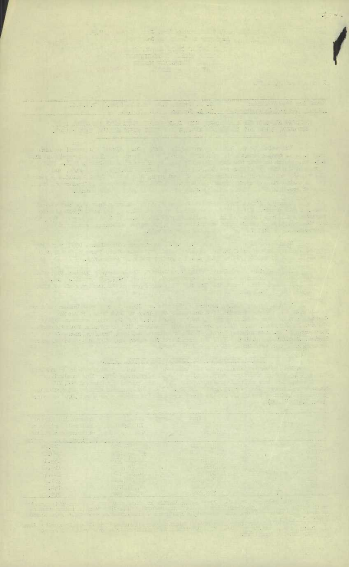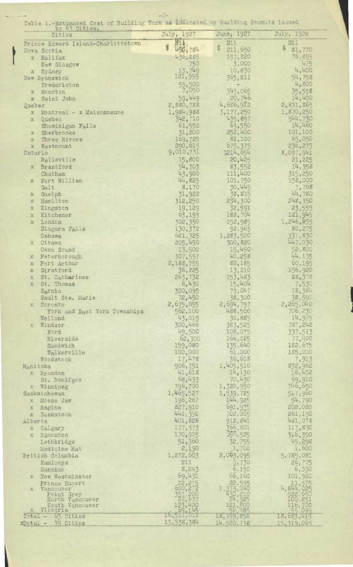| Table 1.-Estimated Cost of Building Work as Indicated by Building Permits Issued<br>by 63 Cities. |                      |                      |                      |
|---------------------------------------------------------------------------------------------------|----------------------|----------------------|----------------------|
| Cities                                                                                            | July, 1927           | June, 1927           | July, 1926           |
| Prince Edward Island-Charlottetown                                                                | WF                   | Nil<br>\$            | Nil                  |
| Nova Scotia                                                                                       | 450,784              | 211,650              | \$<br>81,770         |
| x Halifax                                                                                         | 436,285              | 197,820<br>3,000     | 76,895<br>475        |
| New Glasgow<br>Sydney<br>$\mathbb{X}$                                                             | 750<br>13,749        | 10,830               | 4,400                |
| New Brunswick                                                                                     | 121,999              | 365,811              | 54,758               |
| Fredericton                                                                                       | 55,500               |                      | 4,800                |
| Moncton<br>X.                                                                                     | 7,050                | 345,065              | 35,558               |
| Saint John<br>$\mathbb{X}$                                                                        | 59,449               | 20,746               | 14,400               |
| Quebec                                                                                            | 2,880,788            | 4,686,572            | 2,831,865            |
| x Montreal - x Maisonneuve<br>Quebec<br>$\mathbf{x}$                                              | 1,984,988<br>342,710 | 3,177,250<br>435,897 | 1,870,250<br>544,730 |
| Shawinigan Falls                                                                                  | 61,550               | 63,550               | 14,460               |
| Sherbrooke<br>$\mathbf{x}$                                                                        | 31,200               | 252,400              | 101,100              |
| Three Rivers<br>$\mathbb{X}$                                                                      | 169,725              | 82,100               | 65,050               |
| Westmount<br>$\mathbf{x}$                                                                         | 290, 615             | 675,375              | 236,275              |
| Ontario                                                                                           | 9,010,731            | 7214,654             | 8,097,941            |
| Belleville                                                                                        | 15,800               | 20,425               | 21,225               |
| x Brantford<br>Chatham                                                                            | 54,303<br>43,900     | 83,552<br>111,400    | 14.358<br>315,250    |
| Fort William<br>X                                                                                 | 44,825               | 101,750              | 158,000              |
| Galt                                                                                              | 8,170                | 30,445               | 7,768                |
| Guelph<br>$\mathbf{x}$                                                                            | 31,922               | 38,815               | 44,780               |
| Hamilton<br>$\mathbf{x}$                                                                          | 312,250              | 234,300              | 248,350              |
| Kingston<br>$\mathbb X$                                                                           | 19,129               | 32,591               | 23,555               |
| Kitchener<br>$\mathbb{X}$                                                                         | 63,193               | 188,704              | 121,945              |
| London<br>$\mathbf{x}$                                                                            | 302,350<br>130,372   | 152,985<br>92,965    | 1,246,255<br>80,275  |
| Niagara Falls<br>Oshawa                                                                           | 621, 325             | 1,283,500            | 337,830              |
| Ottawa<br>X                                                                                       | 205,450              | 300,820              | 447,030              |
| Owen Sound                                                                                        | 13,500               | 15,450.              | 52,800               |
| Peterborough<br>$\mathbf{x}$                                                                      | 307,557              | 40,258               | 44.135               |
| Port Arthur<br>$\mathbf{x}$                                                                       | 2,188,755            | 82,185               | 60,195               |
| Stratford<br>$\mathbb X$                                                                          | 36,225               | 13,210               | 156.920              |
| x St. Catharines<br>St. Thomas<br>$\mathbf{x}$                                                    | 263,732<br>6,430     | 153,483<br>15,404    | 28,378<br>7,530      |
| Sarnia                                                                                            | 300,095              | 79,047               | 78,384               |
| Sault Ste. Marie                                                                                  | 72,450               | 38,300               | 38,590               |
| Toronto<br>$\mathbf{x}$                                                                           | 2,675,055            | 2,694,797            | 2,265,040            |
| York and East York Townships                                                                      | 562,100              | 488,500              | 706.230              |
| Welland                                                                                           | 43,019               | 30,885               | 14,975               |
| Windsor<br>$\mathbb{X}$                                                                           | 300,466<br>49,500    | 383,525<br>108,075   | 787,242<br>337,513   |
| Ford<br>Riverside                                                                                 | 62,300               | 166,025              | 77,400               |
| Sandwich                                                                                          | 159,080              | 135,640              | 182,675              |
| Walkerville                                                                                       | 100,000              | 61,000               | 185,000              |
| Woodstock                                                                                         | 17,478               | 36,618               | 7,913                |
| Manitoba                                                                                          | 906,751              | 1,405,510            | 832,962              |
| x Brandon                                                                                         | 41,618               | 14,130               | 16.402<br>69,910     |
| St. Boniface<br>x Winnipeg                                                                        | 68,433<br>796,700    | 70,430<br>1,320,950  | 746,650              |
| Saskatchewan                                                                                      | 1,465,527            | 1,539,725            | 517,960              |
| Moose Jaw<br>X                                                                                    | 196,267              | 144,925              | 54.790               |
| Regina<br>$\mathbf{x}$                                                                            | 827,910              | 691,935              | 202,020              |
| Saskatoon<br>$\mathbb{X}$                                                                         | 441.350              | 702,855              | 261,150              |
| Alberta                                                                                           | 401,828              | 912,841              | 481,078              |
| Calgary<br>$\mathbf{x}$                                                                           | 177, 373             | 366,801<br>粥,535     | 117,830              |
| Edmonton<br>$\mathbf{x}$<br>Lethbridge                                                            | 170,905<br>51,360    | 32,755               | 316,350<br>45,298    |
| Medicine Hat                                                                                      | 2,190                | 1,700                | 1,600                |
| British Columbia                                                                                  | 1,272,603            | 2,093,095            | 5.785,081            |
| Kamloops                                                                                          | Nil                  | 3,730                | 26,775               |
| Nanaimo                                                                                           | 8,243                | 6,150                | 6,030                |
| New Westminster<br>$\mathbf{x}$                                                                   | 69,431               | 66,160               | 101,980              |
| Prince Rupert<br>Vancouver<br>X                                                                   | 22, 275<br>600,272   | 22.595               | 4,844,025            |
| Point Grey                                                                                        | 357.200              |                      | 522,650<br>100.251   |
| North Vancouver                                                                                   | 123,400              | 121<br>300           |                      |
| South Vancouver<br>Victoria<br>$\mathbf{x}$                                                       | 745<br>ьч            | 485                  | 116,700<br>55.       |
| 63 Cities<br>$Total -$<br>スピー<br>$N++,-$                                                          | 10,011<br>13 538 384 | 18,399.<br>858       | 18,683,415<br>770    |
| $W\rightarrow +\infty$                                                                            |                      |                      |                      |